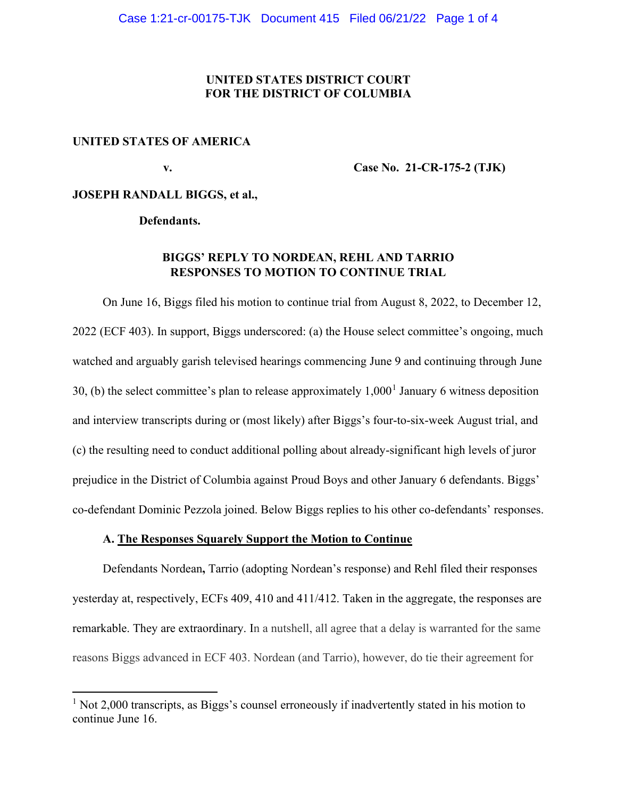### **UNITED STATES DISTRICT COURT FOR THE DISTRICT OF COLUMBIA**

#### **UNITED STATES OF AMERICA**

 **v. Case No. 21-CR-175-2 (TJK)** 

### **JOSEPH RANDALL BIGGS, et al.,**

 **Defendants.** 

## **BIGGS' REPLY TO NORDEAN, REHL AND TARRIO RESPONSES TO MOTION TO CONTINUE TRIAL**

 On June 16, Biggs filed his motion to continue trial from August 8, 2022, to December 12, 2022 (ECF 403). In support, Biggs underscored: (a) the House select committee's ongoing, much watched and arguably garish televised hearings commencing June 9 and continuing through June 30, (b) the select committee's plan to release approximately  $1,000<sup>1</sup>$  $1,000<sup>1</sup>$  January 6 witness deposition and interview transcripts during or (most likely) after Biggs's four-to-six-week August trial, and (c) the resulting need to conduct additional polling about already-significant high levels of juror prejudice in the District of Columbia against Proud Boys and other January 6 defendants. Biggs' co-defendant Dominic Pezzola joined. Below Biggs replies to his other co-defendants' responses.

## **A. The Responses Squarely Support the Motion to Continue**

 Defendants Nordean**,** Tarrio (adopting Nordean's response) and Rehl filed their responses yesterday at, respectively, ECFs 409, 410 and 411/412. Taken in the aggregate, the responses are remarkable. They are extraordinary. In a nutshell, all agree that a delay is warranted for the same reasons Biggs advanced in ECF 403. Nordean (and Tarrio), however, do tie their agreement for

<span id="page-0-0"></span><sup>&</sup>lt;sup>1</sup> Not 2,000 transcripts, as Biggs's counsel erroneously if inadvertently stated in his motion to continue June 16.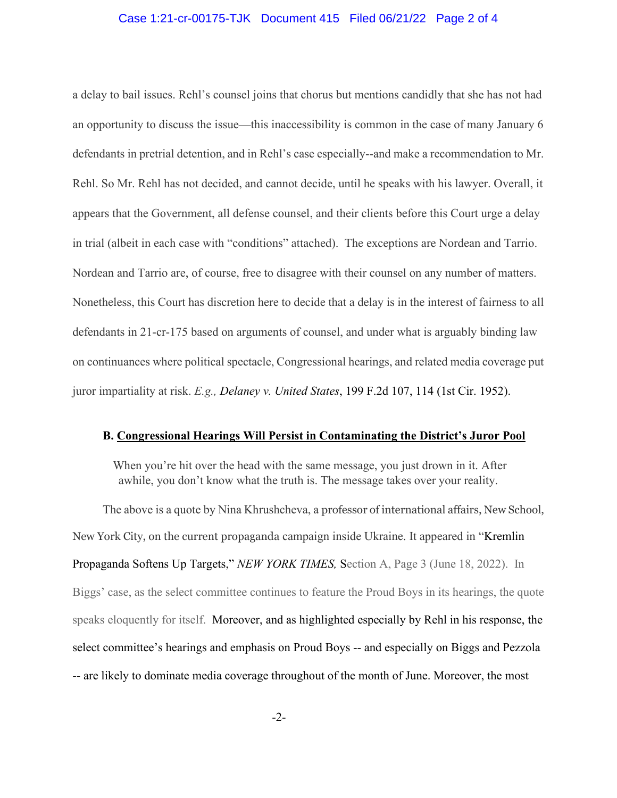### Case 1:21-cr-00175-TJK Document 415 Filed 06/21/22 Page 2 of 4

a delay to bail issues. Rehl's counsel joins that chorus but mentions candidly that she has not had an opportunity to discuss the issue—this inaccessibility is common in the case of many January 6 defendants in pretrial detention, and in Rehl's case especially--and make a recommendation to Mr. Rehl. So Mr. Rehl has not decided, and cannot decide, until he speaks with his lawyer. Overall, it appears that the Government, all defense counsel, and their clients before this Court urge a delay in trial (albeit in each case with "conditions" attached). The exceptions are Nordean and Tarrio. Nordean and Tarrio are, of course, free to disagree with their counsel on any number of matters. Nonetheless, this Court has discretion here to decide that a delay is in the interest of fairness to all defendants in 21-cr-175 based on arguments of counsel, and under what is arguably binding law on continuances where political spectacle, Congressional hearings, and related media coverage put juror impartiality at risk. *E.g., Delaney v. United States*, 199 F.2d 107, 114 (1st Cir. 1952).

#### **B. Congressional Hearings Will Persist in Contaminating the District's Juror Pool**

 When you're hit over the head with the same message, you just drown in it. After awhile, you don't know what the truth is. The message takes over your reality.

 The above is a quote by Nina Khrushcheva, a professor of international affairs, New School, New York City, on the current propaganda campaign inside Ukraine. It appeared in "Kremlin Propaganda Softens Up Targets," *NEW YORK TIMES,* Section A, Page 3 (June 18, 2022). In Biggs' case, as the select committee continues to feature the Proud Boys in its hearings, the quote speaks eloquently for itself. Moreover, and as highlighted especially by Rehl in his response, the select committee's hearings and emphasis on Proud Boys -- and especially on Biggs and Pezzola -- are likely to dominate media coverage throughout of the month of June. Moreover, the most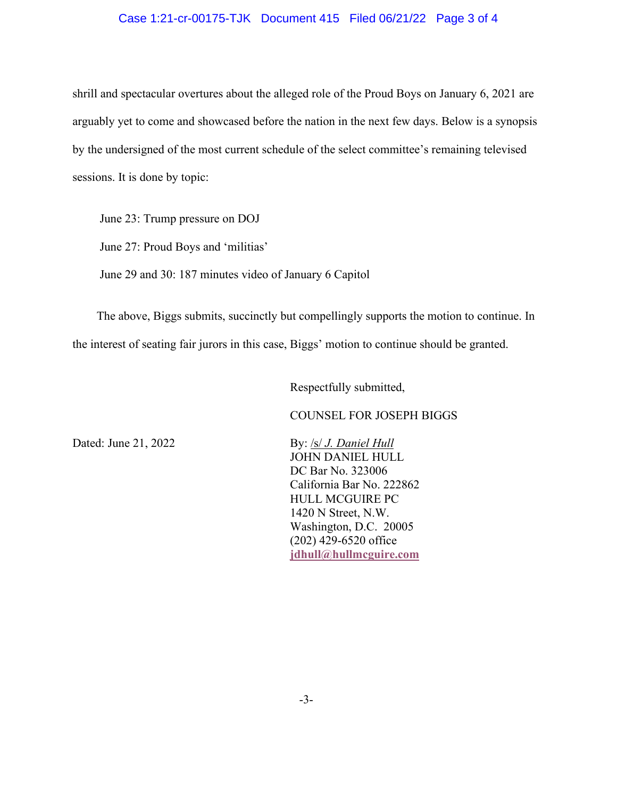### Case 1:21-cr-00175-TJK Document 415 Filed 06/21/22 Page 3 of 4

shrill and spectacular overtures about the alleged role of the Proud Boys on January 6, 2021 are arguably yet to come and showcased before the nation in the next few days. Below is a synopsis by the undersigned of the most current schedule of the select committee's remaining televised sessions. It is done by topic:

 June 23: Trump pressure on DOJ June 27: Proud Boys and 'militias' June 29 and 30: 187 minutes video of January 6 Capitol

 The above, Biggs submits, succinctly but compellingly supports the motion to continue. In the interest of seating fair jurors in this case, Biggs' motion to continue should be granted.

Respectfully submitted,

COUNSEL FOR JOSEPH BIGGS

Dated: June 21, 2022 **By:** *Isl J. Daniel Hull*  JOHN DANIEL HULL DC Bar No. 323006 California Bar No. 222862 HULL MCGUIRE PC 1420 N Street, N.W. Washington, D.C. 20005 (202) 429-6520 office  **[jdhull@hullmcguire.com](mailto:jdhull@hullmcguire.com)** 

-3-